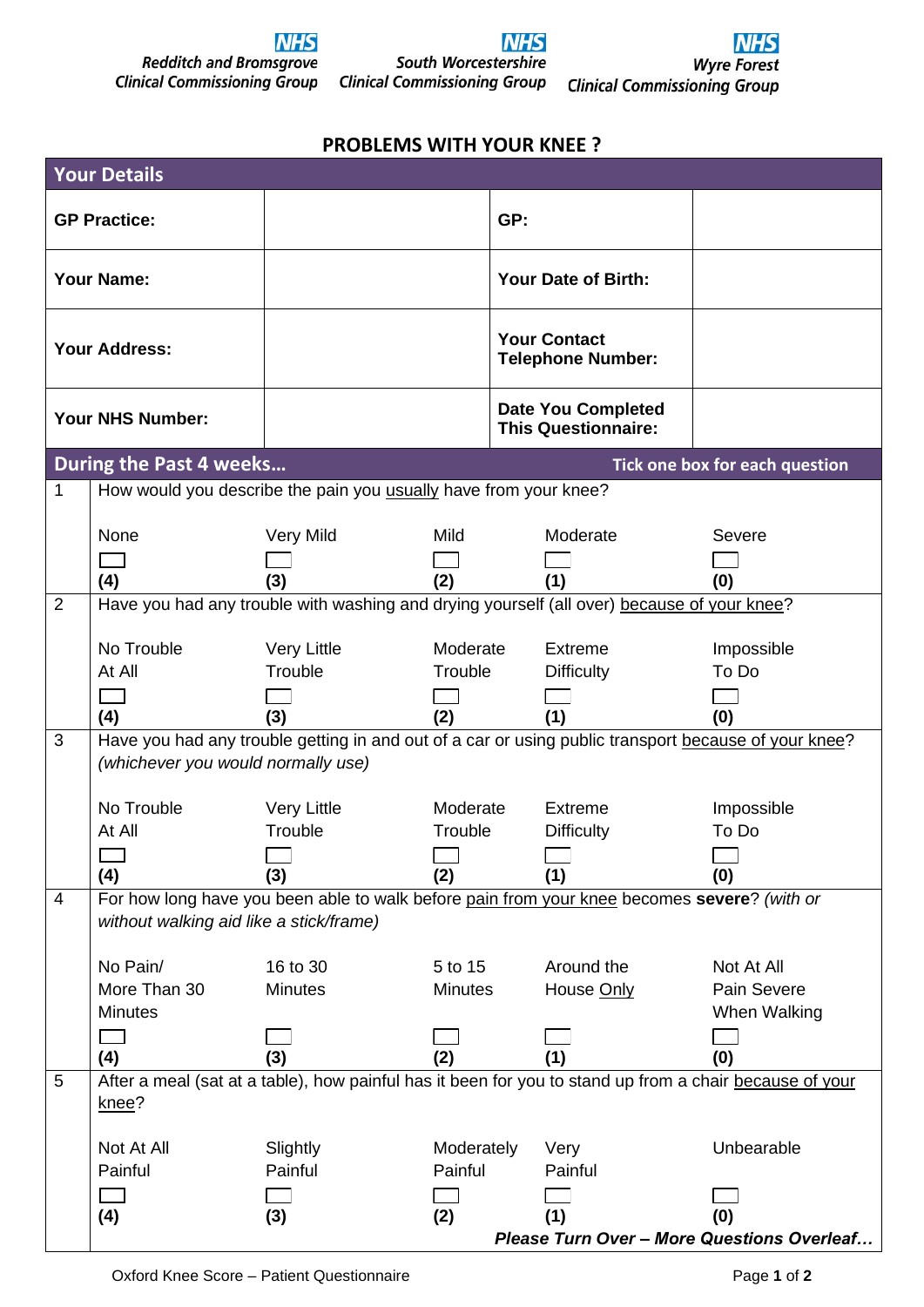

## **NHS** South Worcestershire **Clinical Commissioning Group**



## **PROBLEMS WITH YOUR KNEE ?**

| <b>Your Details</b>  |                                                                                                      |                                                                                                    |            |                                                         |                   |                                                                                                         |  |  |
|----------------------|------------------------------------------------------------------------------------------------------|----------------------------------------------------------------------------------------------------|------------|---------------------------------------------------------|-------------------|---------------------------------------------------------------------------------------------------------|--|--|
| <b>GP Practice:</b>  |                                                                                                      |                                                                                                    |            | GP:                                                     |                   |                                                                                                         |  |  |
| <b>Your Name:</b>    |                                                                                                      |                                                                                                    |            | Your Date of Birth:                                     |                   |                                                                                                         |  |  |
| <b>Your Address:</b> |                                                                                                      |                                                                                                    |            | <b>Your Contact</b><br><b>Telephone Number:</b>         |                   |                                                                                                         |  |  |
| Your NHS Number:     |                                                                                                      |                                                                                                    |            | <b>Date You Completed</b><br><b>This Questionnaire:</b> |                   |                                                                                                         |  |  |
|                      | <b>During the Past 4 weeks</b>                                                                       |                                                                                                    |            |                                                         |                   | Tick one box for each question                                                                          |  |  |
| 1                    |                                                                                                      | How would you describe the pain you usually have from your knee?                                   |            |                                                         |                   |                                                                                                         |  |  |
|                      |                                                                                                      |                                                                                                    |            |                                                         |                   |                                                                                                         |  |  |
|                      | None                                                                                                 | Very Mild                                                                                          | Mild       |                                                         | Moderate          | Severe                                                                                                  |  |  |
|                      |                                                                                                      |                                                                                                    |            |                                                         |                   |                                                                                                         |  |  |
|                      | (4)                                                                                                  | (3)                                                                                                | (2)        |                                                         | (1)               | (0)                                                                                                     |  |  |
| 2                    |                                                                                                      | Have you had any trouble with washing and drying yourself (all over) because of your knee?         |            |                                                         |                   |                                                                                                         |  |  |
|                      | No Trouble                                                                                           | <b>Very Little</b>                                                                                 | Moderate   |                                                         | Extreme           | Impossible                                                                                              |  |  |
|                      | At All                                                                                               | Trouble                                                                                            | Trouble    |                                                         | <b>Difficulty</b> | To Do                                                                                                   |  |  |
|                      |                                                                                                      |                                                                                                    |            |                                                         |                   |                                                                                                         |  |  |
|                      | (4)                                                                                                  | (3)                                                                                                | (2)        |                                                         | (1)               | (0)                                                                                                     |  |  |
| 3                    | Have you had any trouble getting in and out of a car or using public transport because of your knee? |                                                                                                    |            |                                                         |                   |                                                                                                         |  |  |
|                      | (whichever you would normally use)                                                                   |                                                                                                    |            |                                                         |                   |                                                                                                         |  |  |
|                      |                                                                                                      |                                                                                                    |            |                                                         |                   |                                                                                                         |  |  |
|                      | No Trouble                                                                                           | <b>Very Little</b>                                                                                 | Moderate   |                                                         | <b>Extreme</b>    | Impossible                                                                                              |  |  |
|                      | At All                                                                                               | Trouble                                                                                            | Trouble    |                                                         | <b>Difficulty</b> | To Do                                                                                                   |  |  |
|                      |                                                                                                      |                                                                                                    |            |                                                         |                   |                                                                                                         |  |  |
| 4                    | (4)                                                                                                  | (3)<br>For how long have you been able to walk before pain from your knee becomes severe? (with or | (2)        |                                                         | (1)               | (0)                                                                                                     |  |  |
|                      | without walking aid like a stick/frame)                                                              |                                                                                                    |            |                                                         |                   |                                                                                                         |  |  |
|                      |                                                                                                      |                                                                                                    |            |                                                         |                   |                                                                                                         |  |  |
|                      | No Pain/                                                                                             | 16 to 30                                                                                           | 5 to 15    |                                                         | Around the        | Not At All                                                                                              |  |  |
|                      | More Than 30                                                                                         | <b>Minutes</b>                                                                                     | Minutes    |                                                         | House Only        | Pain Severe                                                                                             |  |  |
|                      | <b>Minutes</b>                                                                                       |                                                                                                    |            |                                                         |                   | When Walking                                                                                            |  |  |
|                      |                                                                                                      |                                                                                                    |            |                                                         |                   |                                                                                                         |  |  |
|                      | (4)                                                                                                  | (3)                                                                                                | (2)        |                                                         | (1)               | (0)                                                                                                     |  |  |
| 5                    | knee?                                                                                                |                                                                                                    |            |                                                         |                   | After a meal (sat at a table), how painful has it been for you to stand up from a chair because of your |  |  |
|                      | Not At All                                                                                           | Slightly                                                                                           | Moderately |                                                         | Very              | Unbearable                                                                                              |  |  |
|                      | Painful                                                                                              | Painful                                                                                            | Painful    |                                                         | Painful           |                                                                                                         |  |  |
|                      |                                                                                                      |                                                                                                    |            |                                                         |                   |                                                                                                         |  |  |
|                      | (4)                                                                                                  | (3)                                                                                                | (2)        |                                                         | (1)               | (0)                                                                                                     |  |  |
|                      | Please Turn Over - More Questions Overleaf                                                           |                                                                                                    |            |                                                         |                   |                                                                                                         |  |  |